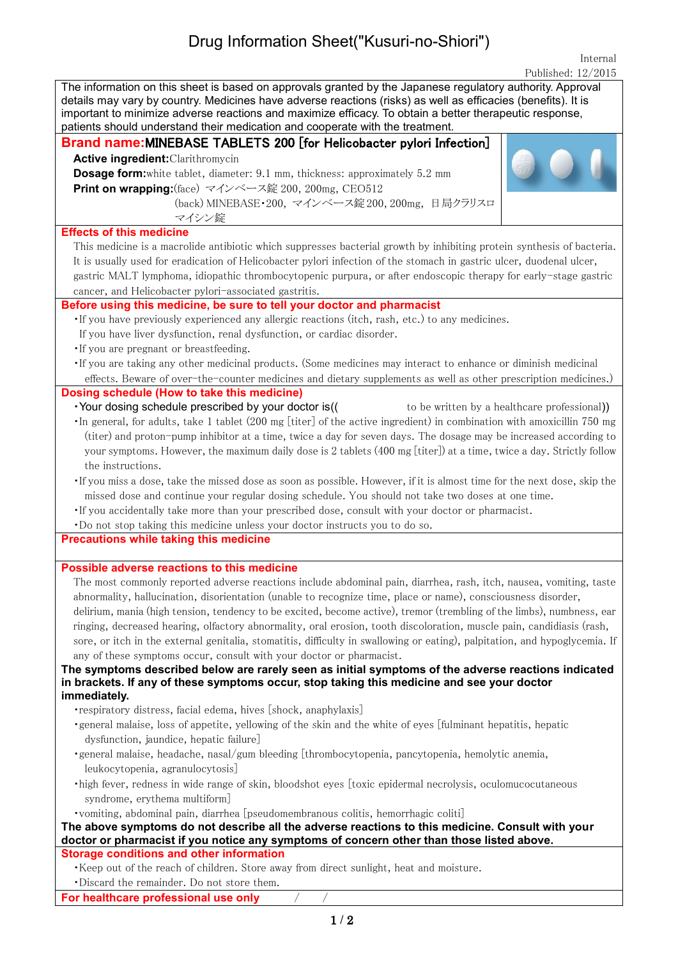## Drug Information Sheet("Kusuri-no-Shiori")

Internal Published: 12/2015

| The information on this sheet is based on approvals granted by the Japanese regulatory authority. Approval<br>details may vary by country. Medicines have adverse reactions (risks) as well as efficacies (benefits). It is<br>important to minimize adverse reactions and maximize efficacy. To obtain a better therapeutic response,<br>patients should understand their medication and cooperate with the treatment. |
|-------------------------------------------------------------------------------------------------------------------------------------------------------------------------------------------------------------------------------------------------------------------------------------------------------------------------------------------------------------------------------------------------------------------------|
| Brand name: MINEBASE TABLETS 200 [for Helicobacter pylori Infection]                                                                                                                                                                                                                                                                                                                                                    |
| <b>Active ingredient: Clarithromycin</b>                                                                                                                                                                                                                                                                                                                                                                                |
| <b>Dosage form:</b> white tablet, diameter: 9.1 mm, thickness: approximately 5.2 mm                                                                                                                                                                                                                                                                                                                                     |
| Print on wrapping: (face) マインベース錠 200, 200mg, CEO512                                                                                                                                                                                                                                                                                                                                                                    |
| (back) MINEBASE·200, マインベース錠 200, 200mg, 日局クラリスロ                                                                                                                                                                                                                                                                                                                                                                        |
| マイシン錠                                                                                                                                                                                                                                                                                                                                                                                                                   |
| <b>Effects of this medicine</b>                                                                                                                                                                                                                                                                                                                                                                                         |
| This medicine is a macrolide antibiotic which suppresses bacterial growth by inhibiting protein synthesis of bacteria.                                                                                                                                                                                                                                                                                                  |
| It is usually used for eradication of Helicobacter pylori infection of the stomach in gastric ulcer, duodenal ulcer,                                                                                                                                                                                                                                                                                                    |
| gastric MALT lymphoma, idiopathic thrombocytopenic purpura, or after endoscopic therapy for early-stage gastric                                                                                                                                                                                                                                                                                                         |
| cancer, and Helicobacter pylori-associated gastritis.                                                                                                                                                                                                                                                                                                                                                                   |
| Before using this medicine, be sure to tell your doctor and pharmacist                                                                                                                                                                                                                                                                                                                                                  |
| . If you have previously experienced any allergic reactions (itch, rash, etc.) to any medicines.                                                                                                                                                                                                                                                                                                                        |
| If you have liver dysfunction, renal dysfunction, or cardiac disorder.                                                                                                                                                                                                                                                                                                                                                  |
| . If you are pregnant or breastfeeding.                                                                                                                                                                                                                                                                                                                                                                                 |
| · If you are taking any other medicinal products. (Some medicines may interact to enhance or diminish medicinal                                                                                                                                                                                                                                                                                                         |
| effects. Beware of over-the-counter medicines and dietary supplements as well as other prescription medicines.)                                                                                                                                                                                                                                                                                                         |
| Dosing schedule (How to take this medicine)                                                                                                                                                                                                                                                                                                                                                                             |
| · Your dosing schedule prescribed by your doctor is((<br>to be written by a healthcare professional)                                                                                                                                                                                                                                                                                                                    |
| In general, for adults, take 1 tablet (200 mg [titer] of the active ingredient) in combination with amoxicillin 750 mg                                                                                                                                                                                                                                                                                                  |
| (titer) and proton-pump inhibitor at a time, twice a day for seven days. The dosage may be increased according to                                                                                                                                                                                                                                                                                                       |
| your symptoms. However, the maximum daily dose is 2 tablets (400 mg [titer]) at a time, twice a day. Strictly follow                                                                                                                                                                                                                                                                                                    |
| the instructions.                                                                                                                                                                                                                                                                                                                                                                                                       |
| . If you miss a dose, take the missed dose as soon as possible. However, if it is almost time for the next dose, skip the                                                                                                                                                                                                                                                                                               |
| missed dose and continue your regular dosing schedule. You should not take two doses at one time.                                                                                                                                                                                                                                                                                                                       |
| · If you accidentally take more than your prescribed dose, consult with your doctor or pharmacist.                                                                                                                                                                                                                                                                                                                      |
| . Do not stop taking this medicine unless your doctor instructs you to do so.                                                                                                                                                                                                                                                                                                                                           |
| Precautions while taking this medicine                                                                                                                                                                                                                                                                                                                                                                                  |
| Possible adverse reactions to this medicine                                                                                                                                                                                                                                                                                                                                                                             |
| The most commonly reported adverse reactions include abdominal pain, diarrhea, rash, itch, nausea, vomiting, taste                                                                                                                                                                                                                                                                                                      |
| abnormality, hallucination, disorientation (unable to recognize time, place or name), consciousness disorder,                                                                                                                                                                                                                                                                                                           |
| delirium, mania (high tension, tendency to be excited, become active), tremor (trembling of the limbs), numbness, ear                                                                                                                                                                                                                                                                                                   |
| ringing, decreased hearing, olfactory abnormality, oral erosion, tooth discoloration, muscle pain, candidiasis (rash,                                                                                                                                                                                                                                                                                                   |
| sore, or itch in the external genitalia, stomatitis, difficulty in swallowing or eating), palpitation, and hypoglycemia. If                                                                                                                                                                                                                                                                                             |
| any of these symptoms occur, consult with your doctor or pharmacist.                                                                                                                                                                                                                                                                                                                                                    |
| The symptoms described below are rarely seen as initial symptoms of the adverse reactions indicated                                                                                                                                                                                                                                                                                                                     |
| in brackets. If any of these symptoms occur, stop taking this medicine and see your doctor                                                                                                                                                                                                                                                                                                                              |
| immediately.                                                                                                                                                                                                                                                                                                                                                                                                            |
| • respiratory distress, facial edema, hives [shock, anaphylaxis]                                                                                                                                                                                                                                                                                                                                                        |
| ·general malaise, loss of appetite, yellowing of the skin and the white of eyes [fulminant hepatitis, hepatic                                                                                                                                                                                                                                                                                                           |
| dysfunction, jaundice, hepatic failure]                                                                                                                                                                                                                                                                                                                                                                                 |
| ·general malaise, headache, nasal/gum bleeding [thrombocytopenia, pancytopenia, hemolytic anemia,                                                                                                                                                                                                                                                                                                                       |
| leukocytopenia, agranulocytosis]                                                                                                                                                                                                                                                                                                                                                                                        |
| ·high fever, redness in wide range of skin, bloodshot eyes [toxic epidermal necrolysis, oculomucocutaneous                                                                                                                                                                                                                                                                                                              |
| syndrome, erythema multiform]                                                                                                                                                                                                                                                                                                                                                                                           |
| • vomiting, abdominal pain, diarrhea [pseudomembranous colitis, hemorrhagic coliti]                                                                                                                                                                                                                                                                                                                                     |
| The above symptoms do not describe all the adverse reactions to this medicine. Consult with your                                                                                                                                                                                                                                                                                                                        |
| doctor or pharmacist if you notice any symptoms of concern other than those listed above.                                                                                                                                                                                                                                                                                                                               |
| <b>Storage conditions and other information</b><br>. Keep out of the reach of children. Store away from direct sunlight, heat and moisture.                                                                                                                                                                                                                                                                             |
| ·Discard the remainder. Do not store them.                                                                                                                                                                                                                                                                                                                                                                              |
| For healthcare professional use only                                                                                                                                                                                                                                                                                                                                                                                    |
|                                                                                                                                                                                                                                                                                                                                                                                                                         |